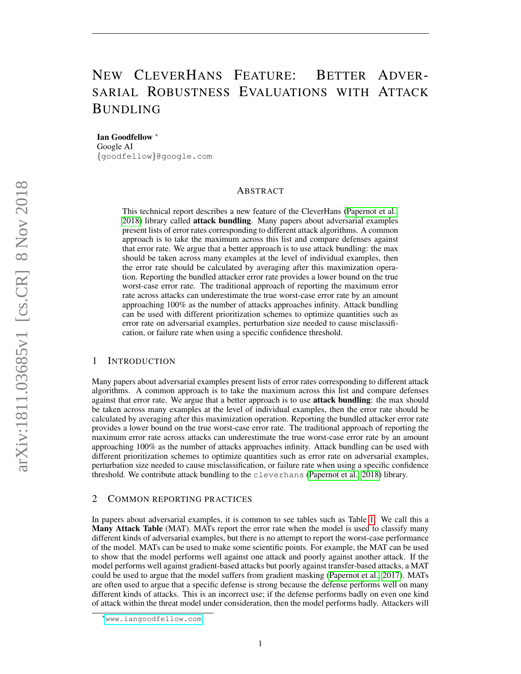# NEW CLEVERHANS FEATURE: BETTER ADVER-SARIAL ROBUSTNESS EVALUATIONS WITH ATTACK BUNDLING

Ian Goodfellow <sup>∗</sup>

Google AI {goodfellow}@google.com

#### ABSTRACT

This technical report describes a new feature of the CleverHans [\(Papernot et al.,](#page-5-0) [2018\)](#page-5-0) library called attack bundling. Many papers about adversarial examples present lists of error rates corresponding to different attack algorithms. A common approach is to take the maximum across this list and compare defenses against that error rate. We argue that a better approach is to use attack bundling: the max should be taken across many examples at the level of individual examples, then the error rate should be calculated by averaging after this maximization operation. Reporting the bundled attacker error rate provides a lower bound on the true worst-case error rate. The traditional approach of reporting the maximum error rate across attacks can underestimate the true worst-case error rate by an amount approaching 100% as the number of attacks approaches infinity. Attack bundling can be used with different prioritization schemes to optimize quantities such as error rate on adversarial examples, perturbation size needed to cause misclassification, or failure rate when using a specific confidence threshold.

#### 1 INTRODUCTION

Many papers about adversarial examples present lists of error rates corresponding to different attack algorithms. A common approach is to take the maximum across this list and compare defenses against that error rate. We argue that a better approach is to use **attack bundling**: the max should be taken across many examples at the level of individual examples, then the error rate should be calculated by averaging after this maximization operation. Reporting the bundled attacker error rate provides a lower bound on the true worst-case error rate. The traditional approach of reporting the maximum error rate across attacks can underestimate the true worst-case error rate by an amount approaching 100% as the number of attacks approaches infinity. Attack bundling can be used with different prioritization schemes to optimize quantities such as error rate on adversarial examples, perturbation size needed to cause misclassification, or failure rate when using a specific confidence threshold. We contribute attack bundling to the cleverhans [\(Papernot et al., 2018\)](#page-5-0) library.

#### 2 COMMON REPORTING PRACTICES

In papers about adversarial examples, it is common to see tables such as Table [1.](#page-1-0) We call this a Many Attack Table (MAT). MATs report the error rate when the model is used to classify many different kinds of adversarial examples, but there is no attempt to report the worst-case performance of the model. MATs can be used to make some scientific points. For example, the MAT can be used to show that the model performs well against one attack and poorly against another attack. If the model performs well against gradient-based attacks but poorly against transfer-based attacks, a MAT could be used to argue that the model suffers from gradient masking [\(Papernot et al., 2017\)](#page-5-1). MATs are often used to argue that a specific defense is strong because the defense performs well on many different kinds of attacks. This is an incorrect use; if the defense performs badly on even one kind of attack within the threat model under consideration, then the model performs badly. Attackers will

<sup>∗</sup><www.iangoodfellow.com>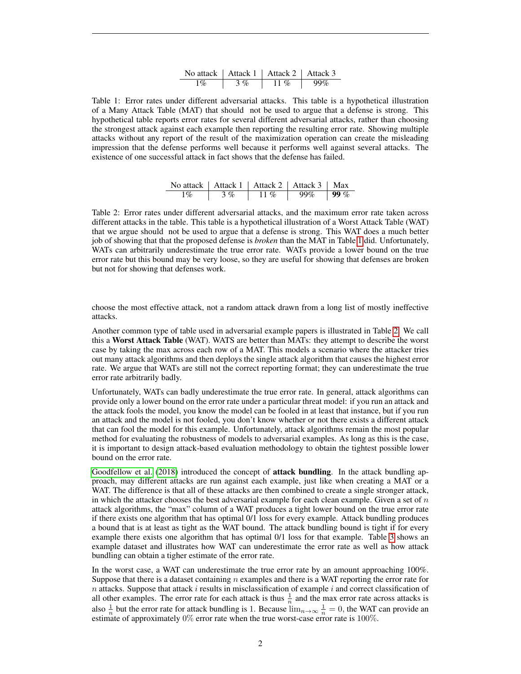| No attack   Attack 1   Attack 2   Attack 3 |        |  |
|--------------------------------------------|--------|--|
|                                            | $11\%$ |  |

<span id="page-1-0"></span>Table 1: Error rates under different adversarial attacks. This table is a hypothetical illustration of a Many Attack Table (MAT) that should not be used to argue that a defense is strong. This hypothetical table reports error rates for several different adversarial attacks, rather than choosing the strongest attack against each example then reporting the resulting error rate. Showing multiple attacks without any report of the result of the maximization operation can create the misleading impression that the defense performs well because it performs well against several attacks. The existence of one successful attack in fact shows that the defense has failed.

| No attack   Attack 1   Attack 2   Attack 3   Max |       |        |                   |  |
|--------------------------------------------------|-------|--------|-------------------|--|
| $1\%$                                            | $3\%$ | $11\%$ | 99%   <b>99</b> % |  |

<span id="page-1-1"></span>Table 2: Error rates under different adversarial attacks, and the maximum error rate taken across different attacks in the table. This table is a hypothetical illustration of a Worst Attack Table (WAT) that we argue should not be used to argue that a defense is strong. This WAT does a much better job of showing that that the proposed defense is *broken* than the MAT in Table [1](#page-1-0) did. Unfortunately, WATs can arbitrarily underestimate the true error rate. WATs provide a lower bound on the true error rate but this bound may be very loose, so they are useful for showing that defenses are broken but not for showing that defenses work.

choose the most effective attack, not a random attack drawn from a long list of mostly ineffective attacks.

Another common type of table used in adversarial example papers is illustrated in Table [2.](#page-1-1) We call this a Worst Attack Table (WAT). WATS are better than MATs: they attempt to describe the worst case by taking the max across each row of a MAT. This models a scenario where the attacker tries out many attack algorithms and then deploys the single attack algorithm that causes the highest error rate. We argue that WATs are still not the correct reporting format; they can underestimate the true error rate arbitrarily badly.

Unfortunately, WATs can badly underestimate the true error rate. In general, attack algorithms can provide only a lower bound on the error rate under a particular threat model: if you run an attack and the attack fools the model, you know the model can be fooled in at least that instance, but if you run an attack and the model is not fooled, you don't know whether or not there exists a different attack that can fool the model for this example. Unfortunately, attack algorithms remain the most popular method for evaluating the robustness of models to adversarial examples. As long as this is the case, it is important to design attack-based evaluation methodology to obtain the tightest possible lower bound on the error rate.

[Goodfellow et al.](#page-5-2) [\(2018\)](#page-5-2) introduced the concept of **attack bundling**. In the attack bundling approach, may different attacks are run against each example, just like when creating a MAT or a WAT. The difference is that all of these attacks are then combined to create a single stronger attack, in which the attacker chooses the best adversarial example for each clean example. Given a set of  $n$ attack algorithms, the "max" column of a WAT produces a tight lower bound on the true error rate if there exists one algorithm that has optimal 0/1 loss for every example. Attack bundling produces a bound that is at least as tight as the WAT bound. The attack bundling bound is tight if for every example there exists one algorithm that has optimal 0/1 loss for that example. Table [3](#page-2-0) shows an example dataset and illustrates how WAT can underestimate the error rate as well as how attack bundling can obtain a tigher estimate of the error rate.

In the worst case, a WAT can underestimate the true error rate by an amount approaching 100%. Suppose that there is a dataset containing  $n$  examples and there is a WAT reporting the error rate for  $n$  attacks. Suppose that attack  $i$  results in misclassification of example  $i$  and correct classification of all other examples. The error rate for each attack is thus  $\frac{1}{n}$  and the max error rate across attacks is also  $\frac{1}{n}$  but the error rate for attack bundling is 1. Because  $\lim_{n\to\infty} \frac{1}{n} = 0$ , the WAT can provide an estimate of approximately  $0\%$  error rate when the true worst-case error rate is 100%.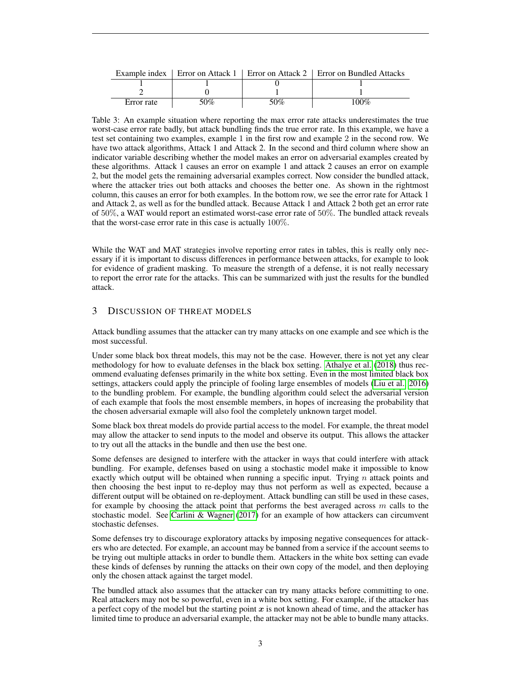|            |     |     | Example index   Error on Attack 1   Error on Attack 2   Error on Bundled Attacks |
|------------|-----|-----|----------------------------------------------------------------------------------|
|            |     |     |                                                                                  |
|            |     |     |                                                                                  |
| Error rate | 50% | 50% | $00\%$                                                                           |

<span id="page-2-0"></span>Table 3: An example situation where reporting the max error rate attacks underestimates the true worst-case error rate badly, but attack bundling finds the true error rate. In this example, we have a test set containing two examples, example 1 in the first row and example 2 in the second row. We have two attack algorithms, Attack 1 and Attack 2. In the second and third column where show an indicator variable describing whether the model makes an error on adversarial examples created by these algorithms. Attack 1 causes an error on example 1 and attack 2 causes an error on example 2, but the model gets the remaining adversarial examples correct. Now consider the bundled attack, where the attacker tries out both attacks and chooses the better one. As shown in the rightmost column, this causes an error for both examples. In the bottom row, we see the error rate for Attack 1 and Attack 2, as well as for the bundled attack. Because Attack 1 and Attack 2 both get an error rate of 50%, a WAT would report an estimated worst-case error rate of 50%. The bundled attack reveals that the worst-case error rate in this case is actually 100%.

While the WAT and MAT strategies involve reporting error rates in tables, this is really only necessary if it is important to discuss differences in performance between attacks, for example to look for evidence of gradient masking. To measure the strength of a defense, it is not really necessary to report the error rate for the attacks. This can be summarized with just the results for the bundled attack.

# 3 DISCUSSION OF THREAT MODELS

Attack bundling assumes that the attacker can try many attacks on one example and see which is the most successful.

Under some black box threat models, this may not be the case. However, there is not yet any clear methodology for how to evaluate defenses in the black box setting. [Athalye et al.](#page-5-3) [\(2018\)](#page-5-3) thus recommend evaluating defenses primarily in the white box setting. Even in the most limited black box settings, attackers could apply the principle of fooling large ensembles of models [\(Liu et al., 2016\)](#page-5-4) to the bundling problem. For example, the bundling algorithm could select the adversarial version of each example that fools the most ensemble members, in hopes of increasing the probability that the chosen adversarial exmaple will also fool the completely unknown target model.

Some black box threat models do provide partial access to the model. For example, the threat model may allow the attacker to send inputs to the model and observe its output. This allows the attacker to try out all the attacks in the bundle and then use the best one.

Some defenses are designed to interfere with the attacker in ways that could interfere with attack bundling. For example, defenses based on using a stochastic model make it impossible to know exactly which output will be obtained when running a specific input. Trying  $n$  attack points and then choosing the best input to re-deploy may thus not perform as well as expected, because a different output will be obtained on re-deployment. Attack bundling can still be used in these cases, for example by choosing the attack point that performs the best averaged across  $m$  calls to the stochastic model. See [Carlini & Wagner](#page-5-5)  $(2017)$  for an example of how attackers can circumvent stochastic defenses.

Some defenses try to discourage exploratory attacks by imposing negative consequences for attackers who are detected. For example, an account may be banned from a service if the account seems to be trying out multiple attacks in order to bundle them. Attackers in the white box setting can evade these kinds of defenses by running the attacks on their own copy of the model, and then deploying only the chosen attack against the target model.

The bundled attack also assumes that the attacker can try many attacks before committing to one. Real attackers may not be so powerful, even in a white box setting. For example, if the attacker has a perfect copy of the model but the starting point  $x$  is not known ahead of time, and the attacker has limited time to produce an adversarial example, the attacker may not be able to bundle many attacks.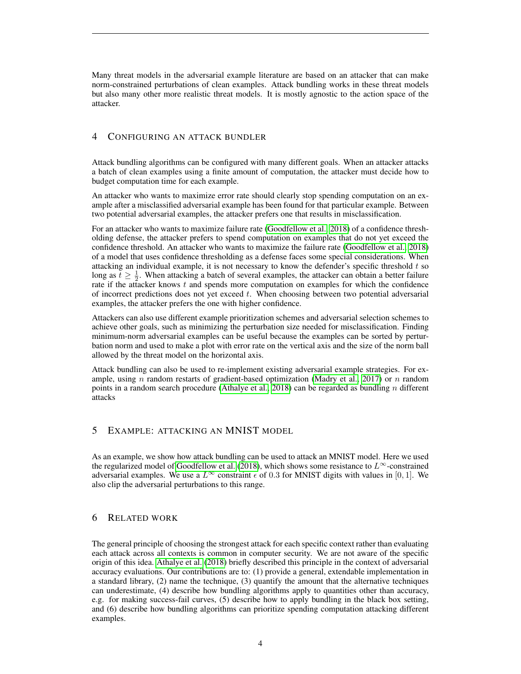Many threat models in the adversarial example literature are based on an attacker that can make norm-constrained perturbations of clean examples. Attack bundling works in these threat models but also many other more realistic threat models. It is mostly agnostic to the action space of the attacker.

# 4 CONFIGURING AN ATTACK BUNDLER

Attack bundling algorithms can be configured with many different goals. When an attacker attacks a batch of clean examples using a finite amount of computation, the attacker must decide how to budget computation time for each example.

An attacker who wants to maximize error rate should clearly stop spending computation on an example after a misclassified adversarial example has been found for that particular example. Between two potential adversarial examples, the attacker prefers one that results in misclassification.

For an attacker who wants to maximize failure rate [\(Goodfellow et al., 2018\)](#page-5-2) of a confidence thresholding defense, the attacker prefers to spend computation on examples that do not yet exceed the confidence threshold. An attacker who wants to maximize the failure rate [\(Goodfellow et al., 2018\)](#page-5-2) of a model that uses confidence thresholding as a defense faces some special considerations. When attacking an individual example, it is not necessary to know the defender's specific threshold  $t$  so long as  $t \geq \frac{1}{2}$ . When attacking a batch of several examples, the attacker can obtain a better failure rate if the attacker knows  $t$  and spends more computation on examples for which the confidence of incorrect predictions does not yet exceed  $t$ . When choosing between two potential adversarial examples, the attacker prefers the one with higher confidence.

Attackers can also use different example prioritization schemes and adversarial selection schemes to achieve other goals, such as minimizing the perturbation size needed for misclassification. Finding minimum-norm adversarial examples can be useful because the examples can be sorted by perturbation norm and used to make a plot with error rate on the vertical axis and the size of the norm ball allowed by the threat model on the horizontal axis.

Attack bundling can also be used to re-implement existing adversarial example strategies. For example, using  $n$  random restarts of gradient-based optimization [\(Madry et al., 2017\)](#page-5-6) or  $n$  random points in a random search procedure [\(Athalye et al., 2018\)](#page-5-3) can be regarded as bundling n different attacks

# 5 EXAMPLE: ATTACKING AN MNIST MODEL

As an example, we show how attack bundling can be used to attack an MNIST model. Here we used the regularized model of [Goodfellow et al.](#page-5-2) [\(2018\)](#page-5-2), which shows some resistance to  $L^{\infty}$ -constrained adversarial examples. We use a  $L^{\infty}$  constraint  $\epsilon$  of 0.3 for MNIST digits with values in [0, 1]. We also clip the adversarial perturbations to this range.

# 6 RELATED WORK

The general principle of choosing the strongest attack for each specific context rather than evaluating each attack across all contexts is common in computer security. We are not aware of the specific origin of this idea. [Athalye et al.](#page-5-3) [\(2018\)](#page-5-3) briefly described this principle in the context of adversarial accuracy evaluations. Our contributions are to: (1) provide a general, extendable implementation in a standard library, (2) name the technique, (3) quantify the amount that the alternative techniques can underestimate, (4) describe how bundling algorithms apply to quantities other than accuracy, e.g. for making success-fail curves, (5) describe how to apply bundling in the black box setting, and (6) describe how bundling algorithms can prioritize spending computation attacking different examples.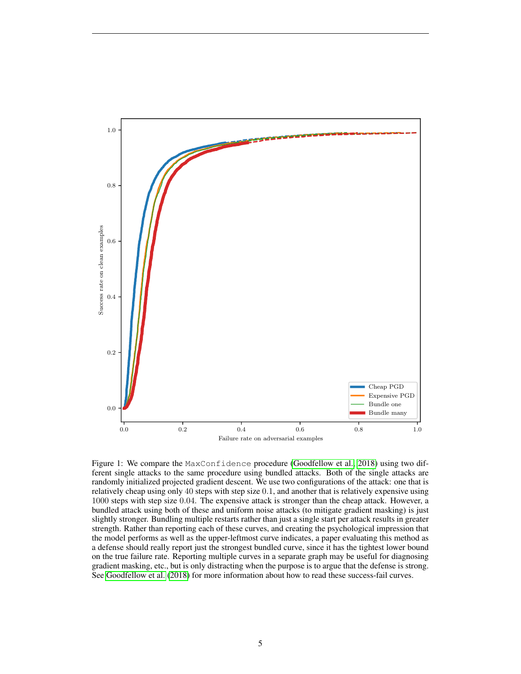

Figure 1: We compare the MaxConfidence procedure [\(Goodfellow et al., 2018\)](#page-5-2) using two different single attacks to the same procedure using bundled attacks. Both of the single attacks are randomly initialized projected gradient descent. We use two configurations of the attack: one that is relatively cheap using only 40 steps with step size 0.1, and another that is relatively expensive using 1000 steps with step size 0.04. The expensive attack is stronger than the cheap attack. However, a bundled attack using both of these and uniform noise attacks (to mitigate gradient masking) is just slightly stronger. Bundling multiple restarts rather than just a single start per attack results in greater strength. Rather than reporting each of these curves, and creating the psychological impression that the model performs as well as the upper-leftmost curve indicates, a paper evaluating this method as a defense should really report just the strongest bundled curve, since it has the tightest lower bound on the true failure rate. Reporting multiple curves in a separate graph may be useful for diagnosing gradient masking, etc., but is only distracting when the purpose is to argue that the defense is strong. See [Goodfellow et al.](#page-5-2) [\(2018\)](#page-5-2) for more information about how to read these success-fail curves.